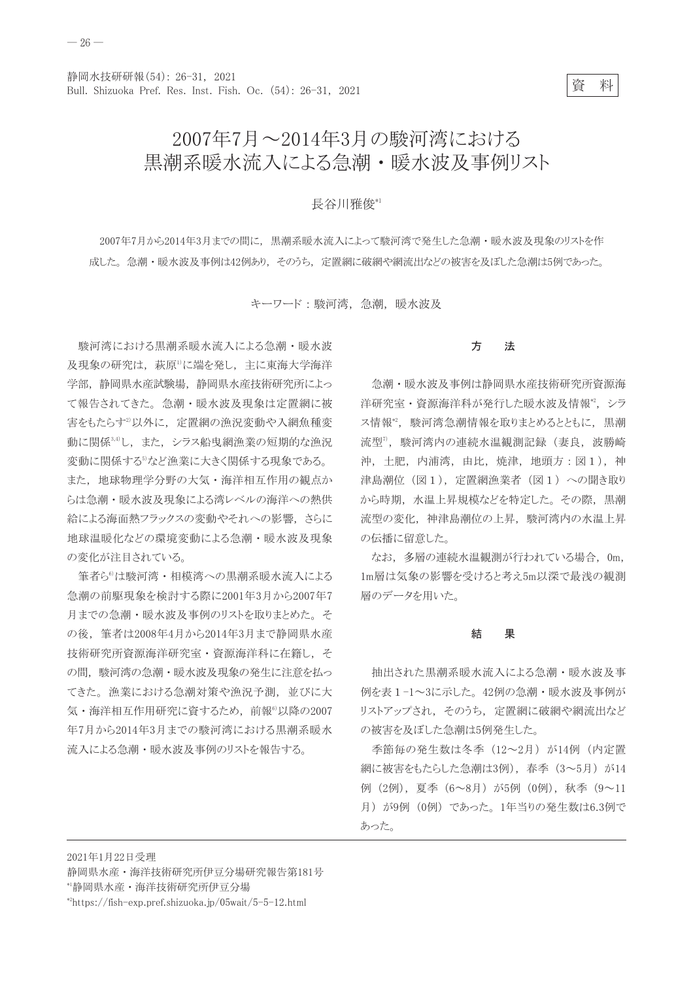箵 料

## 2007年7月~2014年3月の駿河湾における 黒潮系暖水流入による急潮・暖水波及事例リスト

## 長谷川雅俊\*1

2007年7月から2014年3月までの間に、黒潮系暖水流入によって駿河湾で発生した急潮・暖水波及現象のリストを作 成した。急潮・暖水波及事例は42例あり、そのうち、定置網に破網や網流出などの被害を及ぼした急潮は5例であった。

キーワード:駿河湾、急潮、暖水波及

駿河湾における黒潮系暖水流入による急潮・暖水波 及現象の研究は、萩原1に端を発し、主に東海大学海洋 学部、静岡県水産試験場、静岡県水産技術研究所によっ て報告されてきた。急潮・暖水波及現象は定置網に被 害をもたらす<sup>2)</sup>以外に、定置網の漁況変動や入網魚種変 動に関係3,4)し、また、シラス船曳網漁業の短期的な漁況 変動に関係する<sup>3</sup>など漁業に大きく関係する現象である。 また、地球物理学分野の大気・海洋相互作用の観点か らは急潮・暖水波及現象による湾レベルの海洋への熱供 給による海面熱フラックスの変動やそれへの影響、さらに 地球温暖化などの環境変動による急潮・暖水波及現象 の変化が注目されている。

筆者ら<sup>6</sup>は駿河湾·相模湾への黒潮系暖水流入による 急潮の前駆現象を検討する際に2001年3月から2007年7 月までの急潮・暖水波及事例のリストを取りまとめた。そ の後、筆者は2008年4月から2014年3月まで静岡県水産 技術研究所資源海洋研究室・資源海洋科に在籍し、そ の間、駿河湾の急潮・暖水波及現象の発生に注意を払っ てきた。漁業における急潮対策や漁況予測、並びに大 気・海洋相互作用研究に資するため、前報<sup>6</sup>以降の2007 年7月から2014年3月までの駿河湾における黒潮系暖水 流入による急潮・暖水波及事例のリストを報告する。

#### 方 法

急潮・暖水波及事例は静岡県水産技術研究所資源海 洋研究室·資源海洋科が発行した暖水波及情報\*2, シラ ス情報", 駿河湾急潮情報を取りまとめるとともに、黒潮 流型", 駿河湾内の連続水温観測記録(妻良, 波勝崎 沖,土肥,内浦湾,由比,焼津,地頭方:図1),神 津島潮位 (図1), 定置網漁業者 (図1) への聞き取り から時期、水温上昇規模などを特定した。その際、黒潮 流型の変化、神津島潮位の上昇、駿河湾内の水温上昇 の伝播に留意した。

なお、多層の連続水温観測が行われている場合, 0m, 1m層は気象の影響を受けると考え5m以深で最浅の観測 層のデータを用いた。

#### 果 結

抽出された黒潮系暖水流入による急潮・暖水波及事 例を表1-1~3に示した。42例の急潮・暖水波及事例が リストアップされ、そのうち、定置網に破網や網流出など の被害を及ぼした急潮は5例発生した。

季節毎の発生数は冬季 (12~2月) が14例 (内定置 網に被害をもたらした急潮は3例), 春季 (3~5月) が14 例 (2例), 夏季 (6~8月) が5例 (0例), 秋季 (9~11 月) が9例 (0例) であった。1年当りの発生数は6.3例で あった。

2021年1月22日受理

静岡県水産·海洋技術研究所伊豆分場研究報告第181号

<sup>&</sup>lt;sup>\*</sup>静岡県水産·海洋技術研究所伊豆分場

<sup>\*2</sup>https://fish-exp.pref.shizuoka.jp/05wait/5-5-12.html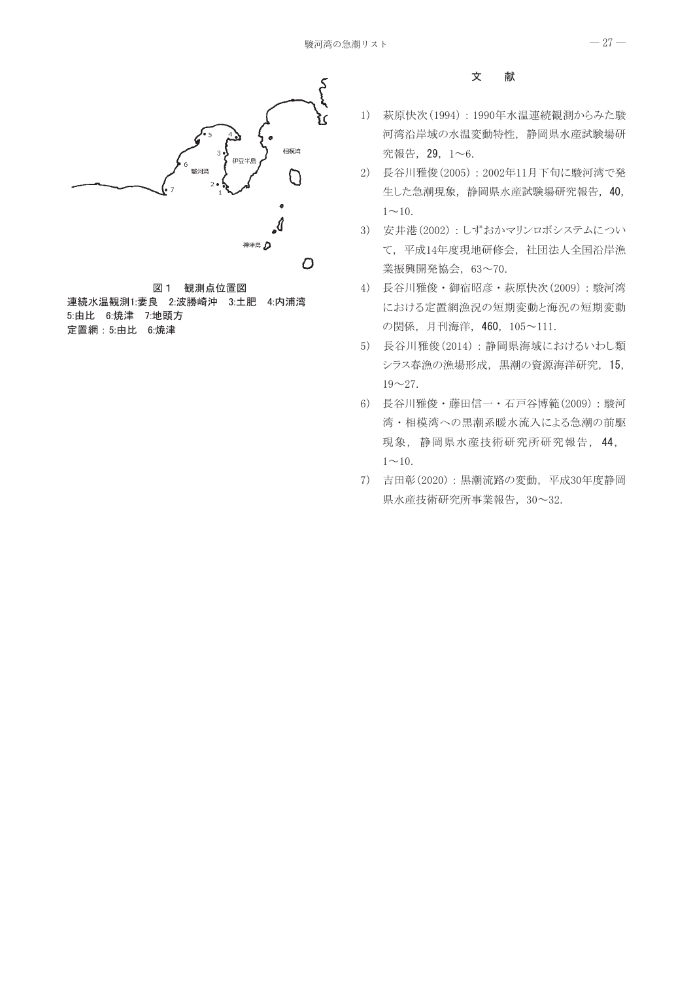

図 1 観測点位置図 連続水温観測1:妻良 2:波勝崎沖 3:土肥 4:内浦湾 5:由比 6:焼津 7:地頭方 定置網: 5:由比 6:焼津

#### 文 献

- 1) 萩原快次 (1994): 1990年水温連続観測からみた駿 河湾沿岸域の水温変動特性、静岡県水産試験場研 究報告, 29, 1~6.
- 2) 長谷川雅俊(2005): 2002年11月下旬に駿河湾で発 生した急潮現象,静岡県水産試験場研究報告, 40,  $1 \sim 10$ .
- 3) 安井港(2002): しずおかマリンロボシステムについ て、平成14年度現地研修会、社団法人全国沿岸漁 業振興開発協会, 63~70.
- 4) 長谷川雅俊·御宿昭彦·萩原快次(2009):駿河湾 における定置網漁況の短期変動と海況の短期変動 の関係, 月刊海洋, 460, 105~111.
- 5) 長谷川雅俊(2014):静岡県海域におけるいわし類 シラス春漁の漁場形成、黒潮の資源海洋研究, 15,  $19 - 27$ .
- 6) 長谷川雅俊·藤田信一·石戸谷博範(2009):駿河 湾・相模湾への黒潮系暖水流入による急潮の前駆 現象,静岡県水産技術研究所研究報告, 44,  $1 \sim 10$ .
- 7) 吉田彰(2020):黒潮流路の変動,平成30年度静岡 県水産技術研究所事業報告, 30~32.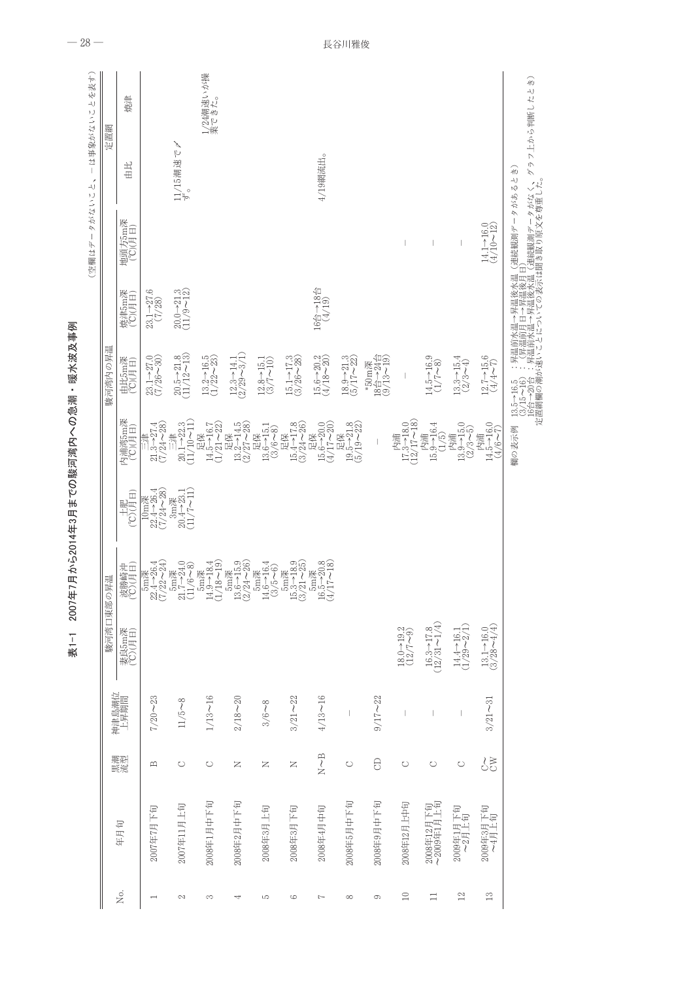|             |                          |                                      |                                                                                                                                                                                                                                                                                                                                                                                  | 駿河湾口東部の昇温                                                               |                                                                               |                                                                                     |                                                                                                     | 駿河湾内の昇温                                                                      |                                                                                                                               |                                                                        | 定置網                                                                                                                           |                    |
|-------------|--------------------------|--------------------------------------|----------------------------------------------------------------------------------------------------------------------------------------------------------------------------------------------------------------------------------------------------------------------------------------------------------------------------------------------------------------------------------|-------------------------------------------------------------------------|-------------------------------------------------------------------------------|-------------------------------------------------------------------------------------|-----------------------------------------------------------------------------------------------------|------------------------------------------------------------------------------|-------------------------------------------------------------------------------------------------------------------------------|------------------------------------------------------------------------|-------------------------------------------------------------------------------------------------------------------------------|--------------------|
| Σó.         | 年月旬                      | 黒流                                   | 神津島潮位<br>上昇期間                                                                                                                                                                                                                                                                                                                                                                    | 妻良5m深<br>(°C)(月日)                                                       | 波勝崎沖<br>(°C)(月日)                                                              | $\begin{array}{c} \pm i\mathbb{E}\\ \oplus\mathbb{I} \end{array}$                   | 内浦湾5m深<br>(°C)(月日)                                                                                  | 由比5m深<br>(C)(月日)                                                             | 焼津5m深<br>(C)(月日)                                                                                                              | 地頭方5m深<br>(°C)(月日)                                                     | 出出                                                                                                                            | 焼津                 |
|             | 2007年7月下旬                | $\mathbf{\underline{\mathsf{m}}}$    | $7/20 - 23$                                                                                                                                                                                                                                                                                                                                                                      |                                                                         | $\substack{\text{5m}\mathbb{H}\\22.4\to26.4\\(7/22\sim24)}$                   | $\begin{array}{c} 10 \text{m} \mathbb{R} \\ 22.4 - 26.4 \\ (7/24 - 28) \end{array}$ | $\begin{array}{c}\n\Xi \not\equiv \\ \n21.3 \rightarrow 27.4 \\ (7/24 \sim 28)\n\end{array}$        | $23.1 - 27.0$<br>(7/26 $-30$ )                                               | $23.1 - 27.6$<br>(7/28)                                                                                                       |                                                                        |                                                                                                                               |                    |
| 2           | 2007年11月上旬               | $\circ$                              | $11/5 - 8$                                                                                                                                                                                                                                                                                                                                                                       |                                                                         | $\substack{\text{5m}\mathbb{R} \\ 21.7\text{--}24.0\\ (11/6\text{--}8)}$      | $\begin{array}{c} 3{\rm m}\mathbb{H}\\ 20.4{-}23.1\\ (11/7{-}11) \end{array}$       |                                                                                                     | $20.5 - 21.8$<br>(11/12~13)                                                  | $20.0 - 21.3$<br>(11/9~12)                                                                                                    |                                                                        | 11/15潮速で〆<br>ず。                                                                                                               |                    |
| S           | 2008年1月中下旬               | $\circ$                              | $1/13 - 16$                                                                                                                                                                                                                                                                                                                                                                      |                                                                         | $\substack{\text{5m}\mathbb{R} \\ 14.9 \rightarrow 18.4 \\ (1/18 \sim 19)}$   |                                                                                     | $\begin{array}{c} \mathbb{E} \mathbb{R} \\ 14.5 \text{--} 16.7 \\ (1/21 \text{--} 222) \end{array}$ | $\begin{array}{c} 13.2-16.5 \\ (1/22-23) \end{array}$                        |                                                                                                                               |                                                                        |                                                                                                                               | 1/24潮速いが操<br>業できた。 |
| 4           | 2008年2月中下旬               | z                                    | $2/18 - 20$                                                                                                                                                                                                                                                                                                                                                                      |                                                                         | $\substack{\text{5m}\mathbb{H}\\\text{13.6}\to\text{15.9}}\\(2/24\!\sim\!26)$ |                                                                                     | $\begin{array}{c} \mathbb{E} \mathbb{R} \\ 13.2-14.5 \\ (2/27-28) \end{array}$                      | $\begin{array}{c} 12.3-14.1 \\ (2/29-3/1) \end{array}$                       |                                                                                                                               |                                                                        |                                                                                                                               |                    |
| S           | 2008年3月上旬                | $\simeq$                             | $3/6 - 8$                                                                                                                                                                                                                                                                                                                                                                        |                                                                         | $\substack{5 \text{m} \mathbb{R} \\ 14.6 \rightarrow 16.4 \\ (3/5 \sim 6)}$   |                                                                                     | $\begin{array}{c} \mathbb{E} \mathbb{R} \\ 13.6 \rightarrow 15.1 \\ (3/6 \sim 8) \\ \end{array}$    | $\frac{12.8 - 15.1}{(3/7 - 10)}$                                             |                                                                                                                               |                                                                        |                                                                                                                               |                    |
| ు           | 2008年3月下旬                | $\succ$                              | $3/21 - 22$                                                                                                                                                                                                                                                                                                                                                                      |                                                                         | $\substack{\text{5m}\mathbb{H}\\\text{15.3}\to\text{18.9}}\\(3/21\!\sim\!25)$ |                                                                                     | $\begin{array}{c} \mathbb{E} \mathbb{R} \\ 15.4{\rightarrow}17.8 \\ (3/24{\sim}26) \end{array}$     | $\begin{array}{c} 15.1 - 17.3 \\ (3/26 - 28) \end{array}$                    |                                                                                                                               |                                                                        |                                                                                                                               |                    |
| $\sim$      | 2008年4月中旬                | $\stackrel{\textstyle{D}}{N} \sim B$ | $4/13 - 16$                                                                                                                                                                                                                                                                                                                                                                      |                                                                         | $\substack{\text{5m}\mathbb{H}\\\text{16.5}\to20.8\\\text{(4/17}\sim13)}$     |                                                                                     | $\begin{array}{c} \mathbb{E} \mathbb{R} \\ 15.6 \rightarrow 20.0 \\ (4/17 \sim 200) \end{array}$    | $\begin{array}{c} 15.6{\rightarrow}20.2\\ (4/18{\rightarrow}20) \end{array}$ | $\begin{array}{c}\n 16 \stackrel{\triangle}{\ominus} \rightarrow 18 \stackrel{\triangle}{\ominus} \\  (4/19) \\  \end{array}$ |                                                                        | 4/19網流出。                                                                                                                      |                    |
| $\infty$    | 2008年5月中下旬               | $\circ$                              | $\begin{array}{c} \rule{0pt}{2.5ex} \rule{0pt}{2.5ex} \rule{0pt}{2.5ex} \rule{0pt}{2.5ex} \rule{0pt}{2.5ex} \rule{0pt}{2.5ex} \rule{0pt}{2.5ex} \rule{0pt}{2.5ex} \rule{0pt}{2.5ex} \rule{0pt}{2.5ex} \rule{0pt}{2.5ex} \rule{0pt}{2.5ex} \rule{0pt}{2.5ex} \rule{0pt}{2.5ex} \rule{0pt}{2.5ex} \rule{0pt}{2.5ex} \rule{0pt}{2.5ex} \rule{0pt}{2.5ex} \rule{0pt}{2.5ex} \rule{0$ |                                                                         |                                                                               |                                                                                     | $\begin{array}{c} \mathbb{E} \mathbb{R} \\ 19.5 - 21.8 \\ (5/19 - 22) \end{array}$                  | $\begin{array}{c} 18.9 - 21.3 \\ (5/17 - 22) \end{array}$                    |                                                                                                                               |                                                                        |                                                                                                                               |                    |
| 6           | 2008年9月中下旬               | $\Theta$                             | $9/17 - 22$                                                                                                                                                                                                                                                                                                                                                                      |                                                                         |                                                                               |                                                                                     |                                                                                                     | *50m深<br>18台→24台<br>(9/13~19)                                                |                                                                                                                               |                                                                        |                                                                                                                               |                    |
| $\supseteq$ | 2008年12月上中旬              | $\circ$                              |                                                                                                                                                                                                                                                                                                                                                                                  | $18.0 - 19.2$<br>(12/7~9)                                               |                                                                               |                                                                                     | 内浦<br>17.3→18.0<br>(12/17~18)                                                                       | I                                                                            |                                                                                                                               |                                                                        |                                                                                                                               |                    |
| Ξ           | 2008年12月下旬<br>~2009年1月上旬 | $\circ$                              | $\overline{\phantom{a}}$                                                                                                                                                                                                                                                                                                                                                         | $16.3 \rightarrow 17.8$ (12/31 $\sim$ 1/4)                              |                                                                               |                                                                                     | 内浦<br>15.9→16.4<br>(1/5)                                                                            | $14.5 - 16.9$<br>(1/7 - 8)                                                   |                                                                                                                               |                                                                        |                                                                                                                               |                    |
| 12          | 2009年1月下旬<br>~2月上旬       | $\circ$                              | $\overline{\phantom{a}}$                                                                                                                                                                                                                                                                                                                                                         | $14.4 \rightarrow 16.1$ $(1/29 \sim 2/1)$                               |                                                                               |                                                                                     | $\begin{array}{c} \beta \hat{\text{eff}} \\ 13.9 - 15.0 \\ (2/3 \sim 5) \end{array}$                | $13.3 - 15.4$<br>$(2/3 - 4)$                                                 |                                                                                                                               | T                                                                      |                                                                                                                               |                    |
| 13          | 2009年3月下旬<br>~4月上旬       | $\underset{\circ}{\circ}$            | $3/21 - 31$                                                                                                                                                                                                                                                                                                                                                                      | $\begin{array}{c} 13.1{\rightarrow}16.0 \\ (3/28{\sim}4/4) \end{array}$ |                                                                               |                                                                                     | $\begin{array}{c} \mathcal{B} \mathcal{H} \\ 14.5 \rightarrow 16.0 \\ (4/6 \sim 7) \end{array}$     | $\begin{array}{c} 12.7{\rightarrow}15.6 \\ (4/4{\sim}7) \end{array}$         |                                                                                                                               | $\begin{array}{c} 14.1 \rightarrow 16.0 \\ (4/10 \sim 12) \end{array}$ |                                                                                                                               |                    |
|             |                          |                                      |                                                                                                                                                                                                                                                                                                                                                                                  |                                                                         |                                                                               |                                                                                     | 欄の表示例                                                                                               |                                                                              |                                                                                                                               |                                                                        | 13.5→16.5 :昇温前水温→昇温後水温(連続観測データがあるとき)<br> 3.75〜16):「昇温前月日→昇温後月日(連続観測データがなく、グラフ上から判断したとき)<br> 12.63 :「近まにことにこっての麦元は聞き取り原文を導重した。 |                    |

表1-1 2007年7月から2014年3月までの駿河湾内への急潮・暖水波及事例

 $-28-$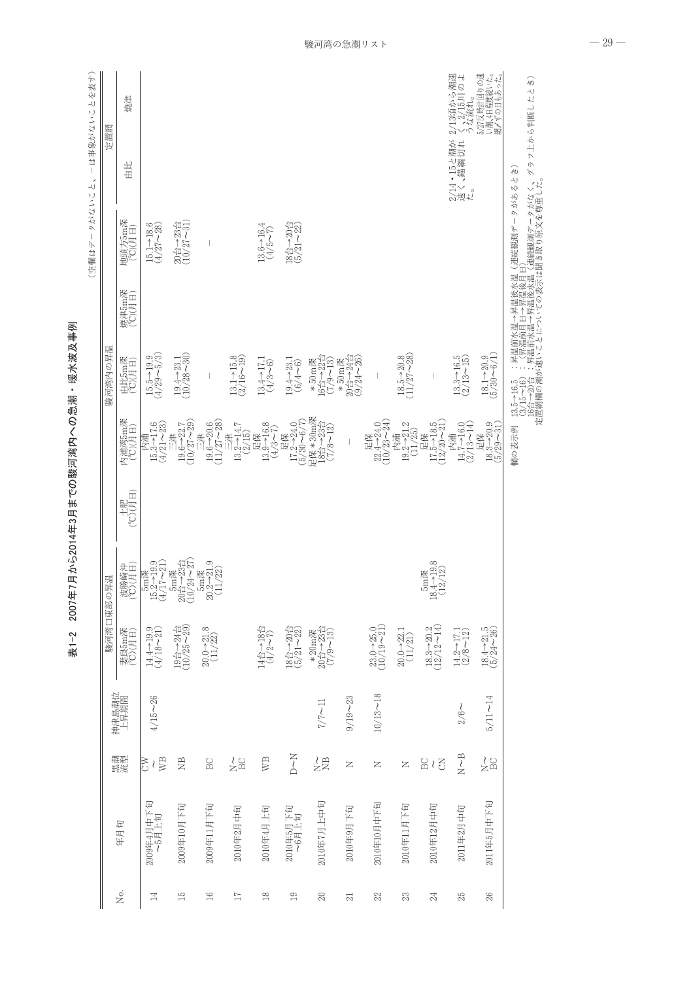|                 |                     |                |               | 駿河湾口東部の                                                                                       | 昇温                                                                                                                                                   |                                                                           |                                                                                                     | 駿河湾内の昇温                                                                                           |                  |                                                                                                                               | 定置網                          |                                          |
|-----------------|---------------------|----------------|---------------|-----------------------------------------------------------------------------------------------|------------------------------------------------------------------------------------------------------------------------------------------------------|---------------------------------------------------------------------------|-----------------------------------------------------------------------------------------------------|---------------------------------------------------------------------------------------------------|------------------|-------------------------------------------------------------------------------------------------------------------------------|------------------------------|------------------------------------------|
| Σó.             | 年月旬                 | 黒流             | 神津島潮位<br>上昇期間 | 妻良5m深<br>(°C)(月日)                                                                             | 波勝崎沖<br>(C)(月日)                                                                                                                                      | $\begin{array}{c} \pm \text{J} \text{F} \\ \text{H} \text{F} \end{array}$ | 内浦湾5m深<br>(°C)(月日)                                                                                  | 由比5m深<br>(°C)(月日)                                                                                 | 焼津5m深<br>(C)(月日) | 地頭方5m深<br>(°C)(月日)                                                                                                            | 出田                           | 焼津                                       |
| $\overline{14}$ | 2009年4月中下旬<br>~5月上旬 | <b>EVE</b>     | $4/15 - 26$   | $\begin{array}{c} 14.4 {\rightarrow} 19.9 \\ (4/18 {\rightarrow} 21) \end{array}$             | $\frac{5m$ 深<br>15.2→19.9<br>(4/17~21)                                                                                                               |                                                                           | 内浦<br>15.3→17.6<br>(4/21~23)                                                                        | $15.5 - 19.9$ (4/29 $\sim\!5/3)$                                                                  |                  | $\begin{array}{c} 15.1 \rightarrow 18.6 \\ (4/27 \, {\sim} \, 28) \end{array}$                                                |                              |                                          |
| $\frac{5}{10}$  | 2009年10月下旬          | $\mathbb{E}$   |               | $\begin{array}{c} 19 \overline{6} \rightarrow 24 \overline{6} \\ (10/25 \sim 29) \end{array}$ | $\begin{array}{c} 5 \text{m} \ddot{\text{R}} \\ 20 \dot{\text{B}} \rightarrow 23 \dot{\text{B}} \\ (10/24 \,\textcolor{red}{\sim}\, 27) \end{array}$ |                                                                           | $\begin{array}{c}\n 19.6 \\  + 22.7 \\  \hline\n (10/27 - 29)\n \end{array}$                        | $19.4 - 23.1$<br>(10/28~30)                                                                       |                  | $\begin{array}{c} 20 \, \triangleq \, \rightarrow 23 \, \triangle \\ (10 / 27 \, \sim \! 31) \end{array}$                     |                              |                                          |
| $\frac{8}{1}$   | 2009年11月下旬          | BC             |               | $20.0 - 21.8$ (11/22)                                                                         | $\frac{5m$ 深<br>$0.2 \rightarrow 21.9$<br>(11/22)<br>$\approx$                                                                                       |                                                                           | $\begin{array}{c}\n 19.6 \\  + 20.6 \\  \hline\n (11/27 - 28)\n \end{array}$                        |                                                                                                   |                  |                                                                                                                               |                              |                                          |
| $\overline{17}$ | 2010年2月中旬           | 28             |               |                                                                                               |                                                                                                                                                      |                                                                           | $13.2 - 14.7$<br>(2/15)<br>$\frac{1}{2}$                                                            | $\begin{array}{c} 13.1 {\rightarrow} 15.8 \\ (2/16 {\sim} 19) \end{array}$                        |                  |                                                                                                                               |                              |                                          |
| $18\,$          | 2010年4月上旬           | WB             |               | $14 \triangleq -18 \triangleq 1$                                                              |                                                                                                                                                      |                                                                           | $\begin{array}{c} 13.9 - 16.8 \\ (4/3 - 7) \end{array}$<br>足保                                       | $13.4 - 17.1$<br>$(4/3 - 6)$                                                                      |                  | $\begin{array}{c} 13.6 \rightarrow 16.4 \\ (4/5 \sim 7) \end{array}$                                                          |                              |                                          |
| 19              | 2010年5月下旬<br>~6月上旬  | N<br>C         |               | $\begin{array}{c} 18 \triangleq \rightarrow 20 \triangleq \\ (5/21 \sim 22) \end{array}$      |                                                                                                                                                      |                                                                           | $\begin{array}{ll} & \times \mathbb{R} \\ 17.2-24.0 \\ (5/30-6/7) \end{array}$                      | $19.4 - 23.1$<br>$(6/4 - 6)$                                                                      |                  | $\begin{array}{c} 18 \triangleq \rightarrow 20 \triangleq \\ (5/21 \sim 22) \end{array}$                                      |                              |                                          |
| $\Omega$        | 2010年7月上中旬          | $z\approx$     | $7/7 \sim 11$ | * 20m渓<br>20台→23台<br>(7/9〜13)                                                                 |                                                                                                                                                      |                                                                           | 足保 * 30m深<br>18台→23台<br>(7/8~12)                                                                    | $*50m$ 深<br>16台→22台<br>$(7/9 - 13)$                                                               |                  |                                                                                                                               |                              |                                          |
| $\overline{21}$ | 2010年9月下旬           | z              | $9/19 - 23$   |                                                                                               |                                                                                                                                                      |                                                                           | $\mid$                                                                                              | $\begin{array}{c} 20 \xrightarrow{A} - 24 \xrightarrow{A} \\ (9/24 \sim 26) \end{array}$<br>*50m深 |                  |                                                                                                                               |                              |                                          |
| 22              | 2010年10月中下旬         | z              | $10/13 - 18$  | $23.0 - 25.0$ (10/19 $\sim$ 21)                                                               |                                                                                                                                                      |                                                                           | 足保<br>22.4→24.0<br>(10/23~24)                                                                       |                                                                                                   |                  |                                                                                                                               |                              |                                          |
| 23              | 2010年11月下旬          | z              |               | $20.0 - 22.1$<br>(11/21)                                                                      |                                                                                                                                                      |                                                                           | $\begin{array}{c} 19.2 - 21.2 \\ (11/25) \end{array}$<br>内浦                                         | $\frac{18.5 - 20.8}{(11/27 - 28)}$                                                                |                  |                                                                                                                               |                              |                                          |
| 24              | 2010年12月中旬          | $\Xi\wr\Sigma$ |               | $\begin{array}{c} 18.3{\rightarrow}20.2 \\ (12/12{\sim}14) \end{array}$                       | $3.4 - 19.8$<br>(12/12)<br><b>5m</b> 深<br>$\overline{8}$                                                                                             |                                                                           | $\begin{array}{c} \n\text{E} \n\text{R} \\ 17.5 \rightarrow 18.5 \\ (12/20 \sim 21) \\ \end{array}$ |                                                                                                   |                  |                                                                                                                               |                              |                                          |
| 25              | 2011年2月中旬           | $N\sim B$      | $2/6\sim$     | $\begin{array}{c} 14.2 - 17.1 \\ (2/8 - 12) \end{array}$                                      |                                                                                                                                                      |                                                                           | 内浦<br>14.7→16.0<br>$(2/13 - 14)$                                                                    | $\begin{array}{c} 13.3 \rightarrow 16.5 \\ (2/13 \sim 15) \end{array}$                            |                  |                                                                                                                               | 2/14・15と潮が:<br>速く、錨綱切れ<br>た。 | 2/13頃から潮速<br>く、2/15川のよ<br>うな流れ。          |
| 26              | 2011年5月中下旬          | 28             | $5/11 - 14$   | $\begin{array}{c} 18.4 {\rightarrow} 21.5 \\ (5/24 {\sim} 26) \end{array}$                    |                                                                                                                                                      |                                                                           | $\begin{array}{c} \mathbb{E}(\mathbb{R})\\ 18.3\rightarrow 20.9\\ (5/29\sim 31) \end{array}$        | $18.1 - 20.9$<br>(5/30~6/1)                                                                       |                  |                                                                                                                               |                              | 5/27反時計回りの速<br>い潮,4日程度続いた。<br>網〆ずの日もあった。 |
|                 |                     |                |               |                                                                                               |                                                                                                                                                      |                                                                           | 欄の表示例                                                                                               |                                                                                                   |                  | 13.5~16.5 :昇温前水温→昇温後水温(連続観測データがあるとき)<br>13.5~16~16.(昇温前月日→昇温後月日)<br>19.15~16.:(昇温前月日→昇温後月日)<br>定置給欄の淘が速いことだっての麦示は聞き取り原文を導重した。 |                              |                                          |

-2 2007年7月から201 4年3 月までの駿河湾内への急潮 - 暖水波及事例

—<br>-<br>林

 $-29-$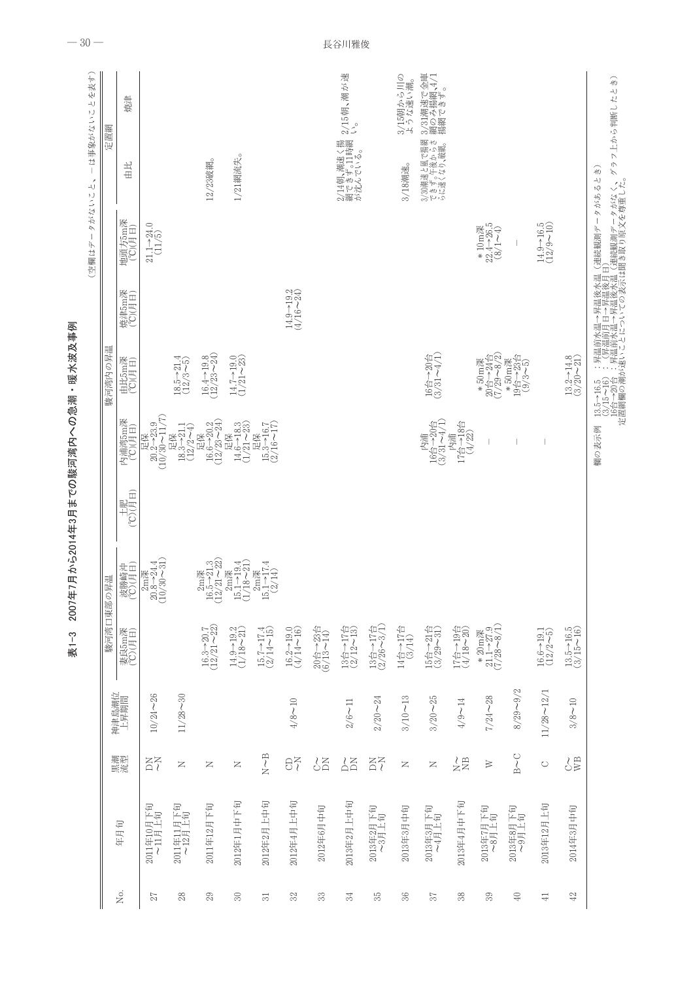|                           |                      |                              |                    | 駿河湾口東部の昇                                                                                                                             | 題                                                                                                                                                               |                                                                                                |                                                                                                                           | 駿河湾内の昇温                                                                                                                                |                                | タがないこ<br>$\begin{array}{c} \end{array}$<br>(空欄はデ                                           | $\rightarrowtail$<br>ーは事象がないこ<br>定置網<br>لە                                                                                         | を表す) |
|---------------------------|----------------------|------------------------------|--------------------|--------------------------------------------------------------------------------------------------------------------------------------|-----------------------------------------------------------------------------------------------------------------------------------------------------------------|------------------------------------------------------------------------------------------------|---------------------------------------------------------------------------------------------------------------------------|----------------------------------------------------------------------------------------------------------------------------------------|--------------------------------|--------------------------------------------------------------------------------------------|------------------------------------------------------------------------------------------------------------------------------------|------|
| Χo.                       | 年月旬                  | 黒流黒                          | 神津島潮位<br>上昇期間      | 妻良5m深<br>(℃)(月日)                                                                                                                     | 波勝崎沖<br>(C)(月日)                                                                                                                                                 | $\begin{array}{c} \pm 1 \mathbb{E}\\ \mathbb{E}[\mathcal{L}]\backslash\mathcal{L}]\end{array}$ | 内浦湾5m深<br>(°C)(月日)                                                                                                        | 由比5m深<br>(°C)(月日)                                                                                                                      | 焼津5m深<br>(°C)(月日)              | 地頭方5m深<br>(°C)(月日)                                                                         | 焼津<br>土土                                                                                                                           |      |
| 27                        | 2011年10月下旬<br>~11月上旬 | ΞŽ                           | $10/24 - 26$       |                                                                                                                                      | $\begin{array}{c} 2m\mathbb{H}\\ 20.8-24.4\\ (10/30\text{~}31) \end{array}$                                                                                     |                                                                                                | $\begin{array}{c} \mathbb{E}\mathbb{R}\\ 20.2\!\!\rightarrow\!\!23.9\\ (10/30\!\sim\!11/7) \end{array}$                   |                                                                                                                                        |                                | $21.1 - 24.0$<br>(11/5)                                                                    |                                                                                                                                    |      |
| $28$                      | 2011年11月下旬<br>~12月上旬 | $\succ$                      | $11/28 - 30$       |                                                                                                                                      |                                                                                                                                                                 |                                                                                                | $\begin{array}{c} \mathbb{E} \mathbb{R} \\ 18.3 \rightarrow 21.1 \\ (12/2 \sim 4) \end{array}$                            | $\begin{array}{c} 18.5 - 21.4 \\ (12/3 - 5) \end{array}$                                                                               |                                |                                                                                            |                                                                                                                                    |      |
| 29                        | 2011年12月下旬           | $\succ$                      |                    | $16.3 - 20.7$ (12/21 $\sim$ 22)                                                                                                      | $\begin{array}{c} 2{\rm m}\mathbb{H}\\ 16.5{-}21.3\\ (12/21{-}22) \end{array}$                                                                                  |                                                                                                | $\frac{16.6 - 20.2}{(12/23 - 24)}$<br>足保                                                                                  | $16.4 - 19.8$ $(12/23 - 24)$                                                                                                           |                                |                                                                                            | 12/23破網。                                                                                                                           |      |
| $\rm 30$                  | 2012年1月中下旬           | Z                            |                    | $\frac{14.9 - 19.2}{(1/18 - 21)}$                                                                                                    |                                                                                                                                                                 |                                                                                                | $\begin{array}{c} 14.6-18.3 \\ (1/21-23) \end{array}$<br>足保                                                               | $\frac{14.7-19.0}{(1/21-23)}$                                                                                                          |                                |                                                                                            | 1/21網流失。                                                                                                                           |      |
| $\overline{\mathfrak{Z}}$ | 2012年2月上中旬           | $N\!\!\sim\!\!B$             |                    | $\begin{array}{c} 15.7 {\rightarrow} 17.4 \\ (2/14 {\sim} 15) \end{array}$                                                           | $\begin{array}{c} 2\text{m}\mathbb{R} \\ 15.1\text{--}19.4 \\ (1/18\text{--}21) \\ 2\text{m}\mathbb{R} \\ 15.1\text{--}17.4 \\ (2/14) \\ (2/14) \\ \end{array}$ |                                                                                                | $\begin{array}{c} \mathbb{E} \mathbb{R} \\ 15.3{\rightarrow}16.7 \\ (2/16{\rightarrow}17) \end{array}$                    |                                                                                                                                        |                                |                                                                                            |                                                                                                                                    |      |
| 32                        | 2012年4月上中旬           | $\theta_0^2$                 | $4/8 - 10$         | $16.2 - 19.0$ $(4/14 - 16)$                                                                                                          |                                                                                                                                                                 |                                                                                                |                                                                                                                           |                                                                                                                                        | $14.9 - 19.2$<br>(4/16 $-24$ ) |                                                                                            |                                                                                                                                    |      |
| 33                        | 2012年6月中旬            | $\frac{1}{2}$                |                    | $\begin{array}{c} 20 \pm -23 \pm \\ (6/13 \, {\sim} \, 14) \end{array}$                                                              |                                                                                                                                                                 |                                                                                                |                                                                                                                           |                                                                                                                                        |                                |                                                                                            |                                                                                                                                    |      |
| 34                        | 2013年2月上中旬           | $^{\lambda}_{\Delta\Xi}$     | $2/6 - 11$         | $\begin{array}{c} 13 \overline{e} \\ (2/12 - 13) \\ \end{array}$                                                                     |                                                                                                                                                                 |                                                                                                |                                                                                                                           |                                                                                                                                        |                                |                                                                                            | 2/15朝、潮が速<br>い。<br>2/14朝、潮速く揚<br>網できず。11時網<br>が沈んでいる。                                                                              |      |
| 55                        | 2013年2月下旬<br>~3月上旬   | šž                           | $2/20 - 24$        | $\begin{array}{c} 13 \overline{1} \\ (2/26 \sim 3/1) \\ \end{array}$                                                                 |                                                                                                                                                                 |                                                                                                |                                                                                                                           |                                                                                                                                        |                                |                                                                                            |                                                                                                                                    |      |
| $36\,$                    | 2013年3月中旬            | Z                            | $3/10 - 13$        | $\begin{array}{c} 14 \overleftrightarrow{=} \rightarrow 17 \overleftrightarrow{=} \\ (3/14) \end{array}$                             |                                                                                                                                                                 |                                                                                                |                                                                                                                           |                                                                                                                                        |                                |                                                                                            | 3/15朝から川の<br>ような速い潮。<br>3/18潮速。                                                                                                    |      |
| 57                        | 2013年3月下旬<br>~4月上旬   | z                            | $3/20\!\simeq\!25$ | $\begin{array}{c} 15 \stackrel{\triangle}{\ominus} \neg \!\!-\! 21 \stackrel{\triangle}{\ominus} \\ (3/29\! \sim \! 31) \end{array}$ |                                                                                                                                                                 |                                                                                                | $\begin{array}{c} 16 \, \overline{\Theta} \rightarrow 20 \, \overline{\Theta} \\ (3/31 \, \sim \, 4/1) \end{array}$<br>内浦 | $\begin{array}{c} 16 \, \triangleq \, \rightarrow \! 20 \, \triangle \\ (3/31 \! \sim \! 4/1) \end{array}$                             |                                |                                                                                            | 3/31潮速で金庫<br>網のみ揚網、4/1<br>揚網できず。<br>3/30潮速と風で揚網<br>できず。午後からさ<br>らに速くなり、破網。                                                         |      |
| $38$                      | 2013年4月中下旬           | $\frac{1}{2}$ $\frac{10}{2}$ | $4/9 - 14$         | 17台 ~ 19台<br>(4/18~20)                                                                                                               |                                                                                                                                                                 |                                                                                                | 内浦<br>17台~18台<br>(4/22)                                                                                                   |                                                                                                                                        |                                |                                                                                            |                                                                                                                                    |      |
| 39                        | 2013年7月下旬<br>~8月上旬   | $\geqslant$                  | $7/24 - 28$        | ${\begin{array}{c} * \ 20 \text{m} \,\%\cr 21.1 \rightarrow 27.9 \cr (7/28 \sim 8/1) \end{array}}$                                   |                                                                                                                                                                 |                                                                                                |                                                                                                                           | $\begin{array}{c} 20 \, \overline{\ominus} \, {\rightarrow} \, 24 \, \overline{\ominus} \\ (7/29 \! \sim \! 8/2) \end{array}$<br>*50m深 |                                | $\begin{array}{c} *10 \text{m} \,\%\newline 22.4-26.5 \text{m} \\\ (8/1 \, 4) \end{array}$ |                                                                                                                                    |      |
| 40                        | 2013年8月下旬<br>~9月上旬   | $B \sim C$                   | $8/29 - 9/2$       |                                                                                                                                      |                                                                                                                                                                 |                                                                                                | $\overline{\phantom{a}}$                                                                                                  | *50m深<br>19台→23台<br>(9/3~5)                                                                                                            |                                |                                                                                            |                                                                                                                                    |      |
| $\overline{41}$           | 2013年12月上旬           | $\circ$                      | $11/28 \sim 12/1$  | $\begin{array}{c} 16.6 {\rightarrow} 19.1 \\ (12/2 {\sim} 5) \end{array}$                                                            |                                                                                                                                                                 |                                                                                                |                                                                                                                           |                                                                                                                                        |                                | $14.9 - 16.5$ (12/9 $-10$ )                                                                |                                                                                                                                    |      |
| $42\,$                    | 2014年3月中旬            | $\underset{C}{\cup}$         | $3/8 - 10$         | $\begin{array}{c} 13.5{\rightarrow}16.5 \\ (3/15{\sim}16) \end{array}$                                                               |                                                                                                                                                                 |                                                                                                |                                                                                                                           | $\begin{array}{c} 13.2 - 14.8 \\ (3/20 - 21) \end{array}$                                                                              |                                |                                                                                            |                                                                                                                                    |      |
|                           |                      |                              |                    |                                                                                                                                      |                                                                                                                                                                 |                                                                                                | 欄の表示例                                                                                                                     |                                                                                                                                        |                                |                                                                                            | 13.5~16.5 :昇温前水温→昇温後水温(連続観測データがあるとき)<br>13.5~16~16.:(昇温前月日→昇温後月日)<br>12.5~16~16.:(昇温前月日→昇温後月日)<br>定置給欄の淘が速いこさんこっいての表示は聞き取り原文を導重した。 | 分    |

表1-3 2007年7月から2014年3月までの駿河湾内への急潮・暖水波及事例

 $-30-$